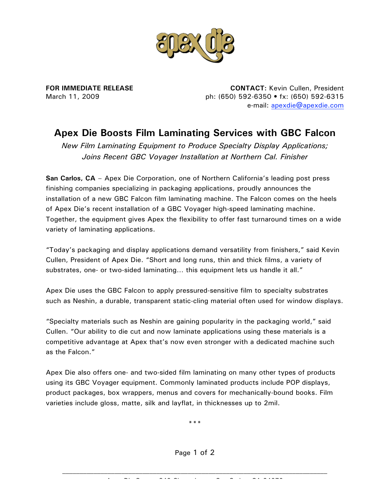

**FOR IMMEDIATE RELEASE** March 11, 2009

**CONTACT:** Kevin Cullen, President ph: (650) 592-6350 • fx: (650) 592-6315 e-mail: apexdie@apexdie.com

## **Apex Die Boosts Film Laminating Services with GBC Falcon**

*New Film Laminating Equipment to Produce Specialty Display Applications; Joins Recent GBC Voyager Installation at Northern Cal. Finisher* 

**San Carlos, CA** – Apex Die Corporation, one of Northern California's leading post press finishing companies specializing in packaging applications, proudly announces the installation of a new GBC Falcon film laminating machine. The Falcon comes on the heels of Apex Die's recent installation of a GBC Voyager high-speed laminating machine. Together, the equipment gives Apex the flexibility to offer fast turnaround times on a wide variety of laminating applications.

"Today's packaging and display applications demand versatility from finishers," said Kevin Cullen, President of Apex Die. "Short and long runs, thin and thick films, a variety of substrates, one- or two-sided laminating… this equipment lets us handle it all."

Apex Die uses the GBC Falcon to apply pressured-sensitive film to specialty substrates such as Neshin, a durable, transparent static-cling material often used for window displays.

"Specialty materials such as Neshin are gaining popularity in the packaging world," said Cullen. "Our ability to die cut and now laminate applications using these materials is a competitive advantage at Apex that's now even stronger with a dedicated machine such as the Falcon."

Apex Die also offers one- and two-sided film laminating on many other types of products using its GBC Voyager equipment. Commonly laminated products include POP displays, product packages, box wrappers, menus and covers for mechanically-bound books. Film varieties include gloss, matte, silk and layflat, in thicknesses up to 2mil.

\*\*\*

Page 1 of 2

Apex Die Corp. • 840 Cherry Lane • San Carlos, CA 94070